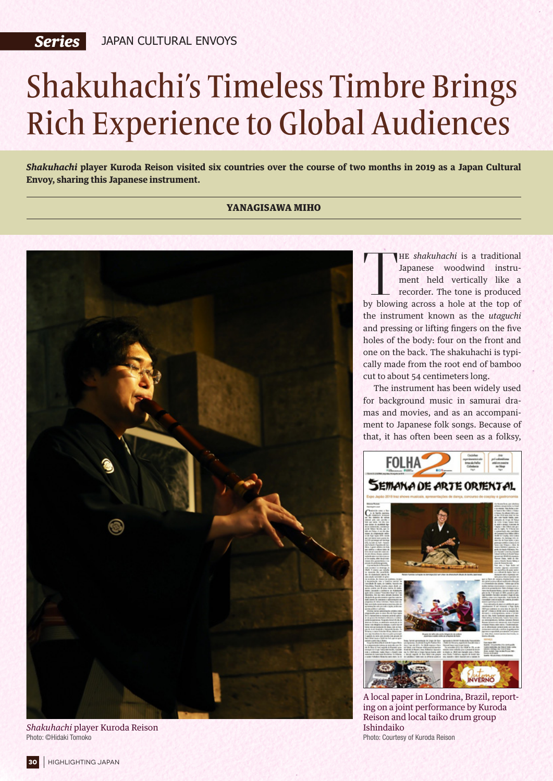## Shakuhachi's Timeless Timbre Brings Rich Experience to Global Audiences

*Shakuhachi* **player Kuroda Reison visited six countries over the course of two months in 2019 as a Japan Cultural Envoy, sharing this Japanese instrument.**

## YANAGISAWA MIHO



*Shakuhachi* player Kuroda Reison Photo: ©Hidaki Tomoko

THE *shakuhachi* is a traditional<br>Japanese woodwind instru-<br>ment held vertically like a<br>recorder. The tone is produced<br>by blowing across a hole at the top of he *shakuhachi* is a traditional Japanese woodwind instrument held vertically like a recorder. The tone is produced the instrument known as the *utaguchi* and pressing or lifting fingers on the five holes of the body: four on the front and one on the back. The shakuhachi is typically made from the root end of bamboo cut to about 54 centimeters long.

The instrument has been widely used for background music in samurai dramas and movies, and as an accompaniment to Japanese folk songs. Because of that, it has often been seen as a folksy,



A local paper in Londrina, Brazil, reporting on a joint performance by Kuroda Reison and local taiko drum group Ishindaiko Photo: Courtesy of Kuroda Reison